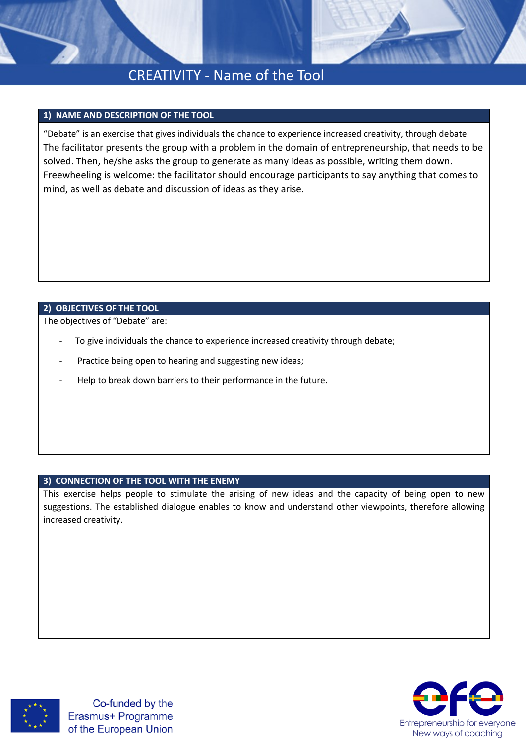## CREATIVITY - Name of the Tool

### **1) NAME AND DESCRIPTION OF THE TOOL**

"Debate" is an exercise that gives individuals the chance to experience increased creativity, through debate. The facilitator presents the group with a problem in the domain of entrepreneurship, that needs to be solved. Then, he/she asks the group to generate as many ideas as possible, writing them down. Freewheeling is welcome: the facilitator should encourage participants to say anything that comes to mind, as well as debate and discussion of ideas as they arise.

### **2) OBJECTIVES OF THE TOOL**

The objectives of "Debate" are:

- To give individuals the chance to experience increased creativity through debate;
- Practice being open to hearing and suggesting new ideas;
- Help to break down barriers to their performance in the future.

### **3) CONNECTION OF THE TOOL WITH THE ENEMY**

This exercise helps people to stimulate the arising of new ideas and the capacity of being open to new suggestions. The established dialogue enables to know and understand other viewpoints, therefore allowing increased creativity.



Co-funded by the Erasmus+ Programme of the European Union